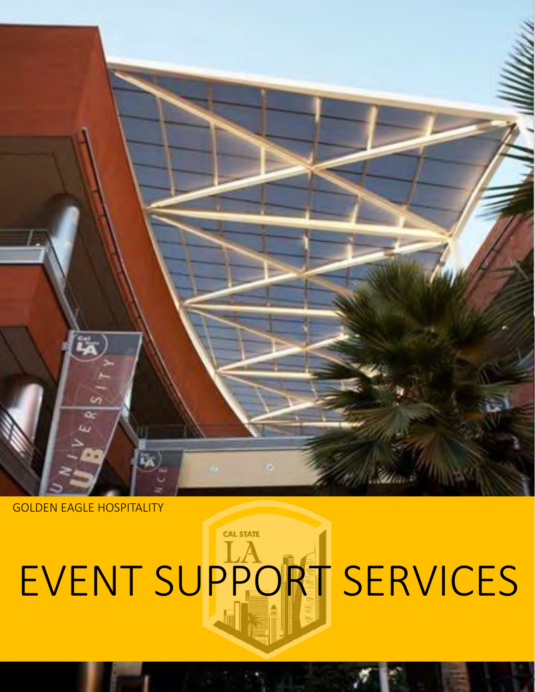# GOLDEN EAGLE HOSPITALITY EVENT SUPPORT SERVICES

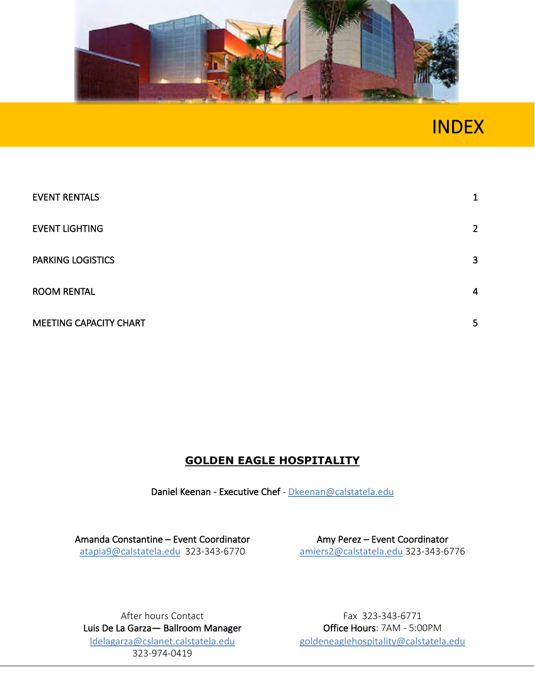

## INDEX

| <b>EVENT RENTALS</b>   | 1              |
|------------------------|----------------|
| <b>EVENT LIGHTING</b>  | $2^{\circ}$    |
| PARKING LOGISTICS      | 3              |
| <b>ROOM RENTAL</b>     | $\overline{4}$ |
| MEETING CAPACITY CHART | 5              |

### **GOLDEN EAGLE HOSPITALITY**

Daniel Keenan - Executive Chef - [Dkeenan@calstatela.edu](http://calstatela.edu)

Amanda Constantine – Event Coordinator [atapia9@calstatela.edu](http://calstatela.edu) 323-343-6770

Amy Perez – Event Coordinator [amiers2@calstatela.edu](http://calstatela.edu) 323-343-6776

After hours Contact Luis De La Garza— Ballroom Manager [ldelagarza@cslanet.calstatela.edu](http://cslanet.calstatela.edu) 323-974-0419

Fax 323-343-6771 Office Hours: 7AM - 5:00PM [goldeneaglehospitality@calstatela.edu](http://calstatela.edu)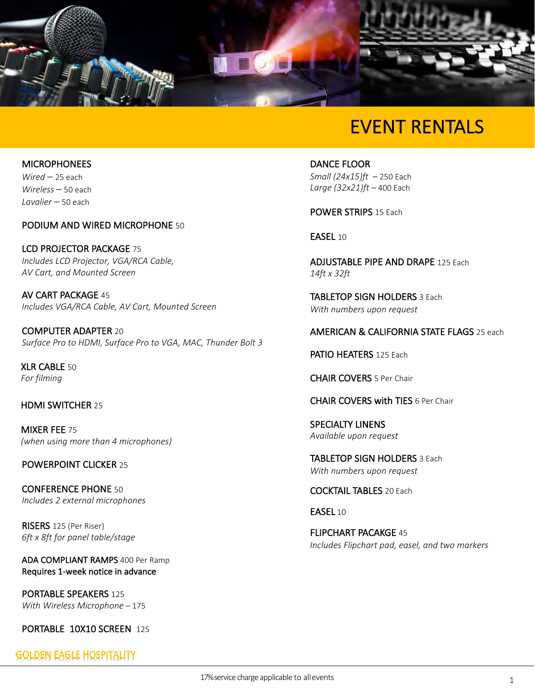

## EVENT RENTALS

**MICROPHONEES** *Wired* – 25 each *Wireless* – 50 each *Lavalier* – 50 each

#### PODIUM AND WIRED MICROPHONE 50

LCD PROJECTOR PACKAGE 75 *Includes LCD Projector, VGA/RCA Cable, AV Cart, and Mounted Screen* 

AV CART PACKAGE 45 *Includes VGA/RCA Cable, AV Cart, Mounted Screen*

COMPUTER ADAPTER 20 *Surface Pro to HDMI, Surface Pro to VGA, MAC, Thunder Bolt 3*

XLR CABLE 50 *For filming* 

#### HDMI SWITCHER 25

MIXER FEE 75 *(when using more than 4 microphones)*

#### POWERPOINT CLICKER 25

CONFERENCE PHONE 50 *Includes 2 external microphones* 

RISERS 125 (Per Riser) *6ft x 8ft for panel table/stage* 

ADA COMPLIANT RAMPS 400 Per Ramp Requires 1-week notice in advance

PORTABLE SPEAKERS 125 *With Wireless Microphone* – 175

PORTABLE 10X10 SCREEN 125

#### **GOLDEN EAGLE HOSPITALITY**

DANCE FLOOR *Small (24x15)ft* – 250 Each *Large (32x21)ft* – 400 Each

POWER STRIPS 15 Each

EASEL 10

ADJUSTABLE PIPE AND DRAPE 125 Each *14ft x 32ft* 

TABLETOP SIGN HOLDERS 3 Each *With numbers upon request*

#### AMERICAN & CALIFORNIA STATE FLAGS 25 each

PATIO HEATERS 125 Each

CHAIR COVERS 5 Per Chair

CHAIR COVERS with TIES 6 Per Chair

SPECIALTY LINENS *Available upon request*

TABLETOP SIGN HOLDERS 3 Each *With numbers upon request* 

COCKTAIL TABLES 20 Each

EASEL 10

FLIPCHART PACAKGE 45 *Includes Flipchart pad, easel, and two markers*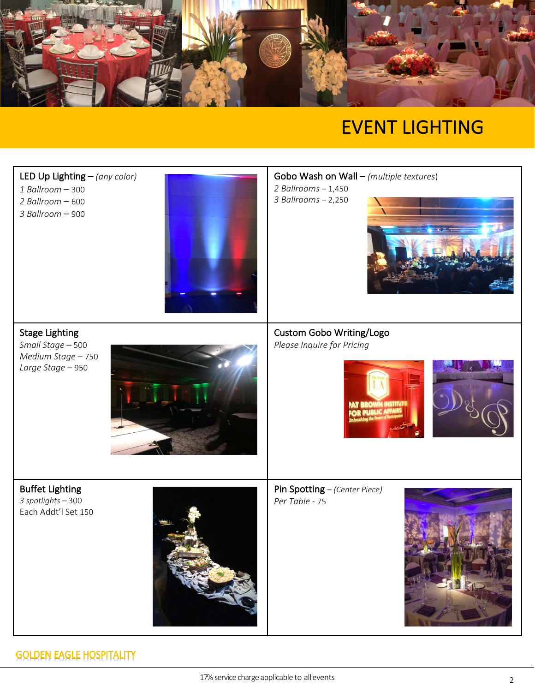

## EVENT LIGHTING

![](_page_3_Picture_2.jpeg)

## **GOLDEN EAGLE HOSPITALITY**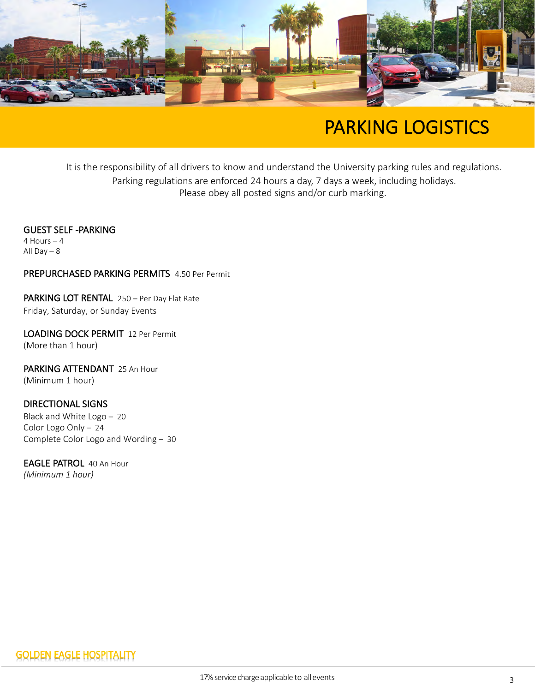![](_page_4_Picture_0.jpeg)

## PARKING LOGISTICS

It is the responsibility of all drivers to know and understand the University parking rules and regulations. Parking regulations are enforced 24 hours a day, 7 days a week, including holidays. Please obey all posted signs and/or curb marking.

GUEST SELF -PARKING 4 Hours – 4 All Day  $-8$ 

#### PREPURCHASED PARKING PERMITS 4.50 Per Permit

PARKING LOT RENTAL 250 - Per Day Flat Rate Friday, Saturday, or Sunday Events

LOADING DOCK PERMIT 12 Per Permit (More than 1 hour)

PARKING ATTENDANT 25 An Hour (Minimum 1 hour)

DIRECTIONAL SIGNS Black and White Logo – 20 Color Logo Only – 24 Complete Color Logo and Wording – 30

EAGLE PATROL 40 An Hour *(Minimum 1 hour)*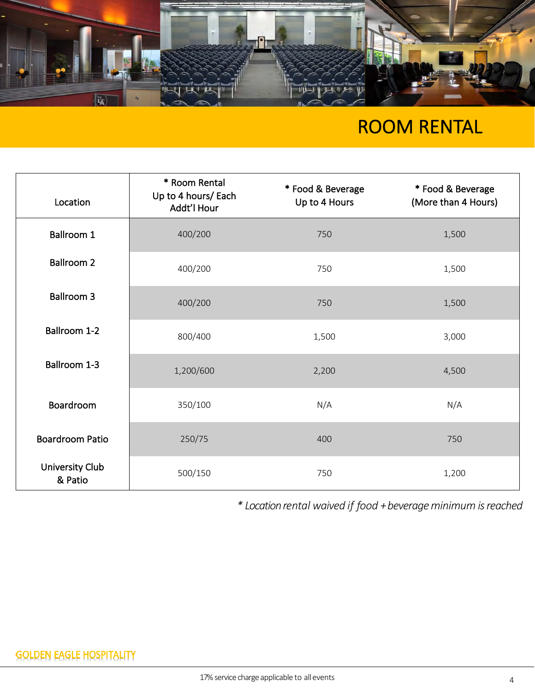![](_page_5_Picture_0.jpeg)

# ROOM RENTAL

| Location                   | * Room Rental<br>Up to 4 hours/ Each<br>Addt'l Hour | * Food & Beverage<br>Up to 4 Hours | * Food & Beverage<br>(More than 4 Hours) |
|----------------------------|-----------------------------------------------------|------------------------------------|------------------------------------------|
| <b>Ballroom 1</b>          | 400/200                                             | 750                                | 1,500                                    |
| <b>Ballroom 2</b>          | 400/200                                             | 750                                | 1,500                                    |
| <b>Ballroom 3</b>          | 400/200                                             | 750                                | 1,500                                    |
| Ballroom 1-2               | 800/400                                             | 1,500                              | 3,000                                    |
| Ballroom 1-3               | 1,200/600                                           | 2,200                              | 4,500                                    |
| Boardroom                  | 350/100                                             | N/A                                | N/A                                      |
| <b>Boardroom Patio</b>     | 250/75                                              | 400                                | 750                                      |
| University Club<br>& Patio | 500/150                                             | 750                                | 1,200                                    |

*\* Location rental waived if food + beverage minimum is reached*